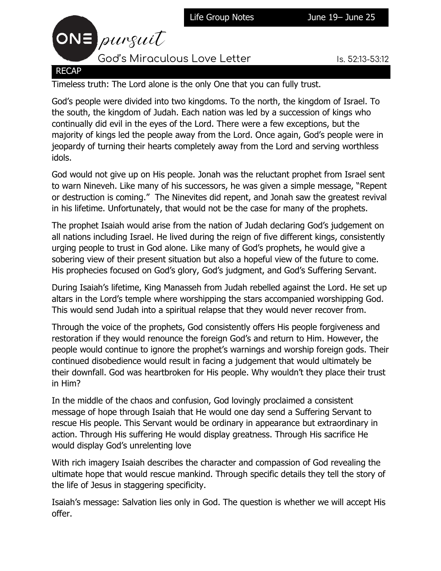



Timeless truth: The Lord alone is the only One that you can fully trust.

God's people were divided into two kingdoms. To the north, the kingdom of Israel. To the south, the kingdom of Judah. Each nation was led by a succession of kings who continually did evil in the eyes of the Lord. There were a few exceptions, but the majority of kings led the people away from the Lord. Once again, God's people were in jeopardy of turning their hearts completely away from the Lord and serving worthless idols.

God would not give up on His people. Jonah was the reluctant prophet from Israel sent to warn Nineveh. Like many of his successors, he was given a simple message, "Repent or destruction is coming." The Ninevites did repent, and Jonah saw the greatest revival in his lifetime. Unfortunately, that would not be the case for many of the prophets.

The prophet Isaiah would arise from the nation of Judah declaring God's judgement on all nations including Israel. He lived during the reign of five different kings, consistently urging people to trust in God alone. Like many of God's prophets, he would give a sobering view of their present situation but also a hopeful view of the future to come. His prophecies focused on God's glory, God's judgment, and God's Suffering Servant.

During Isaiah's lifetime, King Manasseh from Judah rebelled against the Lord. He set up altars in the Lord's temple where worshipping the stars accompanied worshipping God. This would send Judah into a spiritual relapse that they would never recover from.

Through the voice of the prophets, God consistently offers His people forgiveness and restoration if they would renounce the foreign God's and return to Him. However, the people would continue to ignore the prophet's warnings and worship foreign gods. Their continued disobedience would result in facing a judgement that would ultimately be their downfall. God was heartbroken for His people. Why wouldn't they place their trust in Him?

In the middle of the chaos and confusion, God lovingly proclaimed a consistent message of hope through Isaiah that He would one day send a Suffering Servant to rescue His people. This Servant would be ordinary in appearance but extraordinary in action. Through His suffering He would display greatness. Through His sacrifice He would display God's unrelenting love

With rich imagery Isaiah describes the character and compassion of God revealing the ultimate hope that would rescue mankind. Through specific details they tell the story of the life of Jesus in staggering specificity.

Isaiah's message: Salvation lies only in God. The question is whether we will accept His offer.